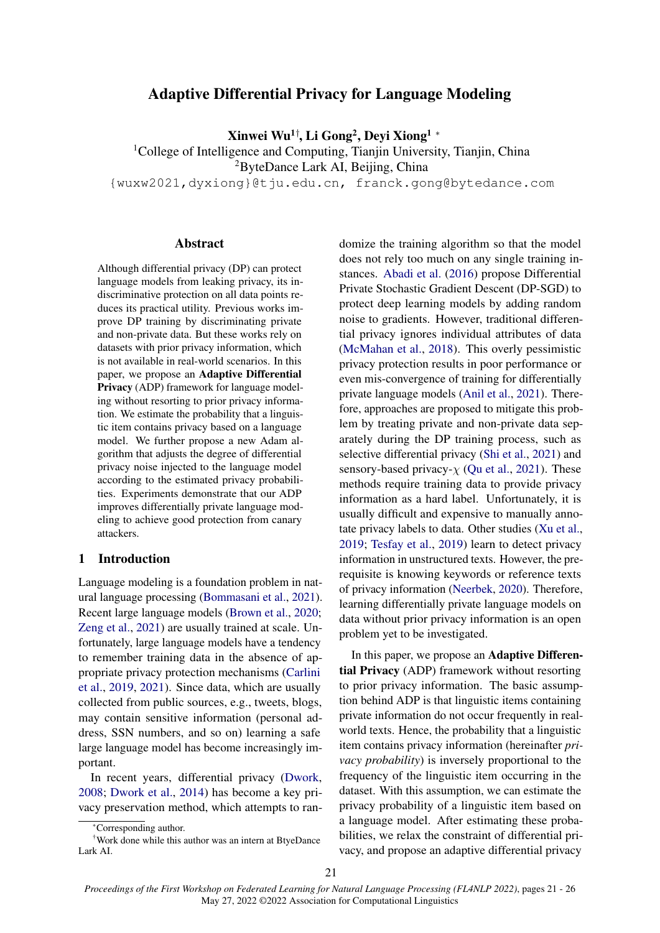# Adaptive Differential Privacy for Language Modeling

Xinwei Wu<sup>1†</sup>, Li Gong<sup>2</sup>, Deyi Xiong<sup>1</sup> \*

<sup>1</sup>College of Intelligence and Computing, Tianjin University, Tianjin, China

<sup>2</sup>ByteDance Lark AI, Beijing, China

{wuxw2021,dyxiong}@tju.edu.cn, franck.gong@bytedance.com

#### Abstract

Although differential privacy (DP) can protect language models from leaking privacy, its indiscriminative protection on all data points reduces its practical utility. Previous works improve DP training by discriminating private and non-private data. But these works rely on datasets with prior privacy information, which is not available in real-world scenarios. In this paper, we propose an Adaptive Differential Privacy (ADP) framework for language modeling without resorting to prior privacy information. We estimate the probability that a linguistic item contains privacy based on a language model. We further propose a new Adam algorithm that adjusts the degree of differential privacy noise injected to the language model according to the estimated privacy probabilities. Experiments demonstrate that our ADP improves differentially private language modeling to achieve good protection from canary attackers.

#### 1 Introduction

Language modeling is a foundation problem in natural language processing [\(Bommasani et al.,](#page-4-0) [2021\)](#page-4-0). Recent large language models [\(Brown et al.,](#page-4-1) [2020;](#page-4-1) [Zeng et al.,](#page-5-0) [2021\)](#page-5-0) are usually trained at scale. Unfortunately, large language models have a tendency to remember training data in the absence of appropriate privacy protection mechanisms [\(Carlini](#page-4-2) [et al.,](#page-4-2) [2019,](#page-4-2) [2021\)](#page-4-3). Since data, which are usually collected from public sources, e.g., tweets, blogs, may contain sensitive information (personal address, SSN numbers, and so on) learning a safe large language model has become increasingly important.

In recent years, differential privacy [\(Dwork,](#page-4-4) [2008;](#page-4-4) [Dwork et al.,](#page-4-5) [2014\)](#page-4-5) has become a key privacy preservation method, which attempts to randomize the training algorithm so that the model does not rely too much on any single training instances. [Abadi et al.](#page-4-6) [\(2016\)](#page-4-6) propose Differential Private Stochastic Gradient Descent (DP-SGD) to protect deep learning models by adding random noise to gradients. However, traditional differential privacy ignores individual attributes of data [\(McMahan et al.,](#page-4-7) [2018\)](#page-4-7). This overly pessimistic privacy protection results in poor performance or even mis-convergence of training for differentially private language models [\(Anil et al.,](#page-4-8) [2021\)](#page-4-8). Therefore, approaches are proposed to mitigate this problem by treating private and non-private data separately during the DP training process, such as selective differential privacy [\(Shi et al.,](#page-5-1) [2021\)](#page-5-1) and sensory-based privacy- $\chi$  [\(Qu et al.,](#page-5-2) [2021\)](#page-5-2). These methods require training data to provide privacy information as a hard label. Unfortunately, it is usually difficult and expensive to manually annotate privacy labels to data. Other studies [\(Xu et al.,](#page-5-3) [2019;](#page-5-3) [Tesfay et al.,](#page-5-4) [2019\)](#page-5-4) learn to detect privacy information in unstructured texts. However, the prerequisite is knowing keywords or reference texts of privacy information [\(Neerbek,](#page-5-5) [2020\)](#page-5-5). Therefore, learning differentially private language models on data without prior privacy information is an open problem yet to be investigated.

In this paper, we propose an Adaptive Differential Privacy (ADP) framework without resorting to prior privacy information. The basic assumption behind ADP is that linguistic items containing private information do not occur frequently in realworld texts. Hence, the probability that a linguistic item contains privacy information (hereinafter *privacy probability*) is inversely proportional to the frequency of the linguistic item occurring in the dataset. With this assumption, we can estimate the privacy probability of a linguistic item based on a language model. After estimating these probabilities, we relax the constraint of differential privacy, and propose an adaptive differential privacy

<sup>\*</sup>Corresponding author.

<sup>†</sup>Work done while this author was an intern at BtyeDance Lark AI.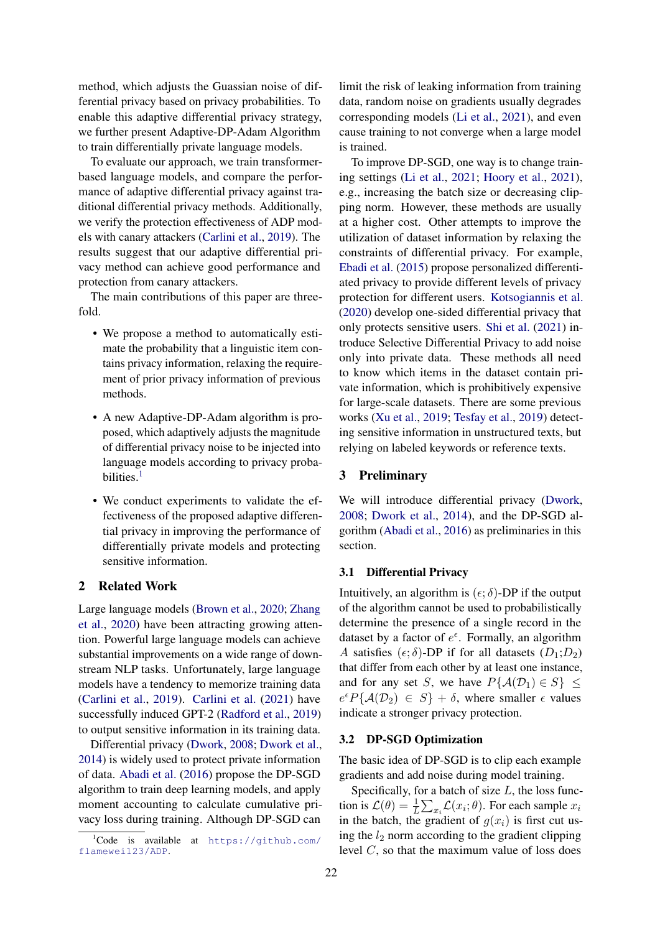method, which adjusts the Guassian noise of differential privacy based on privacy probabilities. To enable this adaptive differential privacy strategy, we further present Adaptive-DP-Adam Algorithm to train differentially private language models.

To evaluate our approach, we train transformerbased language models, and compare the performance of adaptive differential privacy against traditional differential privacy methods. Additionally, we verify the protection effectiveness of ADP models with canary attackers [\(Carlini et al.,](#page-4-2) [2019\)](#page-4-2). The results suggest that our adaptive differential privacy method can achieve good performance and protection from canary attackers.

The main contributions of this paper are threefold.

- We propose a method to automatically estimate the probability that a linguistic item contains privacy information, relaxing the requirement of prior privacy information of previous methods.
- A new Adaptive-DP-Adam algorithm is proposed, which adaptively adjusts the magnitude of differential privacy noise to be injected into language models according to privacy proba-bilities.<sup>[1](#page-1-0)</sup>
- We conduct experiments to validate the effectiveness of the proposed adaptive differential privacy in improving the performance of differentially private models and protecting sensitive information.

# 2 Related Work

Large language models [\(Brown et al.,](#page-4-1) [2020;](#page-4-1) [Zhang](#page-5-6) [et al.,](#page-5-6) [2020\)](#page-5-6) have been attracting growing attention. Powerful large language models can achieve substantial improvements on a wide range of downstream NLP tasks. Unfortunately, large language models have a tendency to memorize training data [\(Carlini et al.,](#page-4-2) [2019\)](#page-4-2). [Carlini et al.](#page-4-3) [\(2021\)](#page-4-3) have successfully induced GPT-2 [\(Radford et al.,](#page-5-7) [2019\)](#page-5-7) to output sensitive information in its training data.

Differential privacy [\(Dwork,](#page-4-4) [2008;](#page-4-4) [Dwork et al.,](#page-4-5) [2014\)](#page-4-5) is widely used to protect private information of data. [Abadi et al.](#page-4-6) [\(2016\)](#page-4-6) propose the DP-SGD algorithm to train deep learning models, and apply moment accounting to calculate cumulative privacy loss during training. Although DP-SGD can

limit the risk of leaking information from training data, random noise on gradients usually degrades corresponding models [\(Li et al.,](#page-4-9) [2021\)](#page-4-9), and even cause training to not converge when a large model is trained.

To improve DP-SGD, one way is to change training settings [\(Li et al.,](#page-4-9) [2021;](#page-4-9) [Hoory et al.,](#page-4-10) [2021\)](#page-4-10), e.g., increasing the batch size or decreasing clipping norm. However, these methods are usually at a higher cost. Other attempts to improve the utilization of dataset information by relaxing the constraints of differential privacy. For example, [Ebadi et al.](#page-4-11) [\(2015\)](#page-4-11) propose personalized differentiated privacy to provide different levels of privacy protection for different users. [Kotsogiannis et al.](#page-4-12) [\(2020\)](#page-4-12) develop one-sided differential privacy that only protects sensitive users. [Shi et al.](#page-5-1) [\(2021\)](#page-5-1) introduce Selective Differential Privacy to add noise only into private data. These methods all need to know which items in the dataset contain private information, which is prohibitively expensive for large-scale datasets. There are some previous works [\(Xu et al.,](#page-5-3) [2019;](#page-5-3) [Tesfay et al.,](#page-5-4) [2019\)](#page-5-4) detecting sensitive information in unstructured texts, but relying on labeled keywords or reference texts.

#### 3 Preliminary

We will introduce differential privacy [\(Dwork,](#page-4-4) [2008;](#page-4-4) [Dwork et al.,](#page-4-5) [2014\)](#page-4-5), and the DP-SGD algorithm [\(Abadi et al.,](#page-4-6) [2016\)](#page-4-6) as preliminaries in this section.

#### 3.1 Differential Privacy

Intuitively, an algorithm is  $(\epsilon; \delta)$ -DP if the output of the algorithm cannot be used to probabilistically determine the presence of a single record in the dataset by a factor of  $e^{\epsilon}$ . Formally, an algorithm A satisfies  $(\epsilon; \delta)$ -DP if for all datasets  $(D_1; D_2)$ that differ from each other by at least one instance, and for any set S, we have  $P\{\mathcal{A}(\mathcal{D}_1) \in S\} \leq$  $e^{\epsilon}P\{\mathcal{A}(\mathcal{D}_2) \in S\} + \delta$ , where smaller  $\epsilon$  values indicate a stronger privacy protection.

#### 3.2 DP-SGD Optimization

The basic idea of DP-SGD is to clip each example gradients and add noise during model training.

Specifically, for a batch of size  $L$ , the loss function is  $\mathcal{L}(\theta) = \frac{1}{L} \sum_{x_i} \mathcal{L}(x_i; \theta)$ . For each sample  $x_i$ in the batch, the gradient of  $q(x_i)$  is first cut using the  $l_2$  norm according to the gradient clipping level C, so that the maximum value of loss does

<span id="page-1-0"></span> ${}^{1}$ Code is available at [https://github.com/](https://github.com/flamewei123/ADP) [flamewei123/ADP](https://github.com/flamewei123/ADP).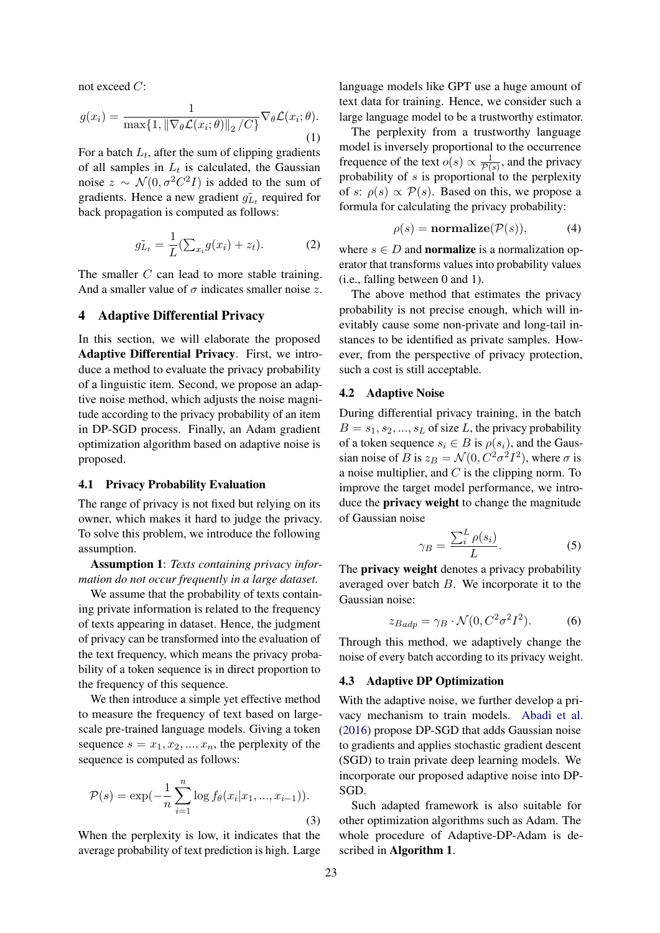not exceed C:

$$
g(x_i) = \frac{1}{\max\{1, \|\nabla_{\theta} \mathcal{L}(x_i; \theta)\|_2 / C\}} \nabla_{\theta} \mathcal{L}(x_i; \theta).
$$
\n(1)

For a batch  $L_t$ , after the sum of clipping gradients of all samples in  $L_t$  is calculated, the Gaussian noise  $z \sim \mathcal{N}(0, \sigma^2 C^2 I)$  is added to the sum of gradients. Hence a new gradient  $\tilde{g}_{L_t}$  required for back propagation is computed as follows:

$$
\tilde{g_{L_t}} = \frac{1}{L} (\sum_{x_i} g(x_i) + z_t). \tag{2}
$$

The smaller C can lead to more stable training. And a smaller value of  $\sigma$  indicates smaller noise z.

## 4 Adaptive Differential Privacy

In this section, we will elaborate the proposed Adaptive Differential Privacy. First, we introduce a method to evaluate the privacy probability of a linguistic item. Second, we propose an adaptive noise method, which adjusts the noise magnitude according to the privacy probability of an item in DP-SGD process. Finally, an Adam gradient optimization algorithm based on adaptive noise is proposed.

#### 4.1 Privacy Probability Evaluation

The range of privacy is not fixed but relying on its owner, which makes it hard to judge the privacy. To solve this problem, we introduce the following assumption.

Assumption 1: *Texts containing privacy information do not occur frequently in a large dataset.*

We assume that the probability of texts containing private information is related to the frequency of texts appearing in dataset. Hence, the judgment of privacy can be transformed into the evaluation of the text frequency, which means the privacy probability of a token sequence is in direct proportion to the frequency of this sequence.

We then introduce a simple yet effective method to measure the frequency of text based on largescale pre-trained language models. Giving a token sequence  $s = x_1, x_2, ..., x_n$ , the perplexity of the sequence is computed as follows:

$$
\mathcal{P}(s) = \exp(-\frac{1}{n}\sum_{i=1}^{n}\log f_{\theta}(x_i|x_1, ..., x_{i-1})).
$$
\n(3)

When the perplexity is low, it indicates that the average probability of text prediction is high. Large language models like GPT use a huge amount of text data for training. Hence, we consider such a large language model to be a trustworthy estimator.

The perplexity from a trustworthy language model is inversely proportional to the occurrence frequence of the text  $o(s) \propto \frac{1}{\mathcal{P}(s)}$  $\frac{1}{\mathcal{P}(s)}$ , and the privacy probability of  $s$  is proportional to the perplexity of s:  $\rho(s) \propto \mathcal{P}(s)$ . Based on this, we propose a formula for calculating the privacy probability:

$$
\rho(s) = \mathbf{normalize}(\mathcal{P}(s)), \tag{4}
$$

where  $s \in D$  and **normalize** is a normalization operator that transforms values into probability values (i.e., falling between 0 and 1).

The above method that estimates the privacy probability is not precise enough, which will inevitably cause some non-private and long-tail instances to be identified as private samples. However, from the perspective of privacy protection, such a cost is still acceptable.

# 4.2 Adaptive Noise

During differential privacy training, in the batch  $B = s_1, s_2, ..., s_L$  of size L, the privacy probability of a token sequence  $s_i \in B$  is  $\rho(s_i)$ , and the Gaussian noise of B is  $z_B = \mathcal{N}(0, C^2 \sigma^2 I^2)$ , where  $\sigma$  is a noise multiplier, and  $C$  is the clipping norm. To improve the target model performance, we introduce the privacy weight to change the magnitude of Gaussian noise

<span id="page-2-0"></span>
$$
\gamma_B = \frac{\sum_i^L \rho(s_i)}{L}.\tag{5}
$$

The **privacy weight** denotes a privacy probability averaged over batch B. We incorporate it to the Gaussian noise:

<span id="page-2-1"></span>
$$
z_{B\,adp} = \gamma_B \cdot \mathcal{N}(0, C^2 \sigma^2 I^2). \tag{6}
$$

Through this method, we adaptively change the noise of every batch according to its privacy weight.

#### 4.3 Adaptive DP Optimization

With the adaptive noise, we further develop a privacy mechanism to train models. [Abadi et al.](#page-4-6) [\(2016\)](#page-4-6) propose DP-SGD that adds Gaussian noise to gradients and applies stochastic gradient descent (SGD) to train private deep learning models. We incorporate our proposed adaptive noise into DP-SGD.

Such adapted framework is also suitable for other optimization algorithms such as Adam. The whole procedure of Adaptive-DP-Adam is described in Algorithm 1.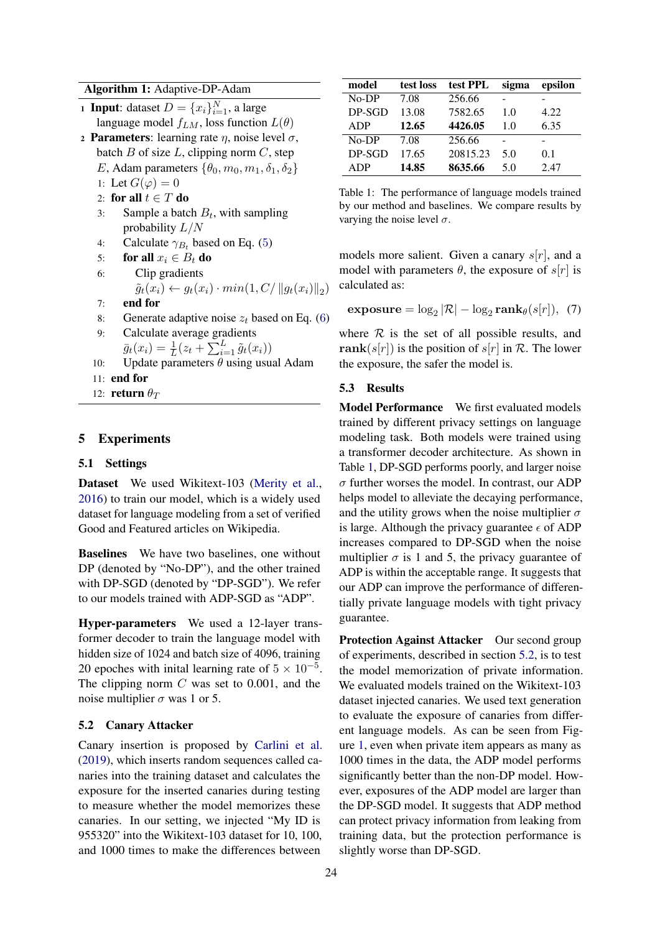#### Algorithm 1: Adaptive-DP-Adam

**1 Input:** dataset  $D = \{x_i\}_{i=1}^N$ , a large language model  $f_{LM}$ , loss function  $L(\theta)$ 2 Parameters: learning rate  $\eta$ , noise level  $\sigma$ ,

- batch  $B$  of size  $L$ , clipping norm  $C$ , step E, Adam parameters  $\{\theta_0, m_0, m_1, \delta_1, \delta_2\}$ 1: Let  $G(\varphi) = 0$ 
	-
	- 2: **for all**  $t \in T$  **do**<br>3: Sample a batc 3: Sample a batch  $B_t$ , with sampling probability  $L/N$
	- 4: Calculate  $\gamma_{B_t}$  based on Eq. ([5](#page-2-0))

```
5: for all x_i \in B_t do<br>6: Clip gradients
```
- Clip gradients
- $\tilde{g}_t(x_i) \leftarrow g_t(x_i) \cdot min(1, C/ ||g_t(x_i)||_2)$ 7: end for
- 8: Generate adaptive noise  $z_t$  based on Eq. ([6](#page-2-1))
- 9: Calculate average gradients
- $\bar{g}_t(x_i) = \frac{1}{L}(z_t + \sum_{i=1}^{L} \tilde{g}_t(x_i))$
- 10: Update parameters  $\theta$  using usual Adam
- 11: end for
- 12: **return**  $\theta_T$

# 5 Experiments

### 5.1 Settings

Dataset We used Wikitext-103 [\(Merity et al.,](#page-4-13) [2016\)](#page-4-13) to train our model, which is a widely used dataset for language modeling from a set of verified Good and Featured articles on Wikipedia.

Baselines We have two baselines, one without DP (denoted by "No-DP"), and the other trained with DP-SGD (denoted by "DP-SGD"). We refer to our models trained with ADP-SGD as "ADP".

Hyper-parameters We used a 12-layer transformer decoder to train the language model with hidden size of 1024 and batch size of 4096, training 20 epoches with initial learning rate of  $5 \times 10^{-5}$ . The clipping norm  $C$  was set to 0.001, and the noise multiplier  $\sigma$  was 1 or 5.

# <span id="page-3-1"></span>5.2 Canary Attacker

Canary insertion is proposed by [Carlini et al.](#page-4-2) [\(2019\)](#page-4-2), which inserts random sequences called canaries into the training dataset and calculates the exposure for the inserted canaries during testing to measure whether the model memorizes these canaries. In our setting, we injected "My ID is 955320" into the Wikitext-103 dataset for 10, 100, and 1000 times to make the differences between

<span id="page-3-0"></span>

| model      | test loss | test PPL | sigma | epsilon |
|------------|-----------|----------|-------|---------|
| $No-DP$    | 7.08      | 256.66   |       |         |
| $DP-SGD$   | 13.08     | 7582.65  | 1.0   | 4.22    |
| <b>ADP</b> | 12.65     | 4426.05  | 1.0   | 6.35    |
| $No-DP$    | 7.08      | 256.66   |       |         |
| $DP-SGD$   | 17.65     | 20815.23 | 5.0   | 0.1     |
| <b>ADP</b> | 14.85     | 8635.66  | 5.0   | 2.47    |

Table 1: The performance of language models trained by our method and baselines. We compare results by varying the noise level  $\sigma$ .

models more salient. Given a canary  $s[r]$ , and a model with parameters  $\theta$ , the exposure of s[r] is calculated as:

$$
\mathbf{exposure} = \log_2 |\mathcal{R}| - \log_2 \mathbf{rank}_{\theta}(s[r]), \tag{7}
$$

where  $R$  is the set of all possible results, and rank(s[r]) is the position of s[r] in R. The lower the exposure, the safer the model is.

### 5.3 Results

Model Performance We first evaluated models trained by different privacy settings on language modeling task. Both models were trained using a transformer decoder architecture. As shown in Table [1,](#page-3-0) DP-SGD performs poorly, and larger noise  $\sigma$  further worses the model. In contrast, our ADP helps model to alleviate the decaying performance, and the utility grows when the noise multiplier  $\sigma$ is large. Although the privacy guarantee  $\epsilon$  of ADP increases compared to DP-SGD when the noise multiplier  $\sigma$  is 1 and 5, the privacy guarantee of ADP is within the acceptable range. It suggests that our ADP can improve the performance of differentially private language models with tight privacy guarantee.

Protection Against Attacker Our second group of experiments, described in section [5.2,](#page-3-1) is to test the model memorization of private information. We evaluated models trained on the Wikitext-103 dataset injected canaries. We used text generation to evaluate the exposure of canaries from different language models. As can be seen from Figure [1,](#page-4-14) even when private item appears as many as 1000 times in the data, the ADP model performs significantly better than the non-DP model. However, exposures of the ADP model are larger than the DP-SGD model. It suggests that ADP method can protect privacy information from leaking from training data, but the protection performance is slightly worse than DP-SGD.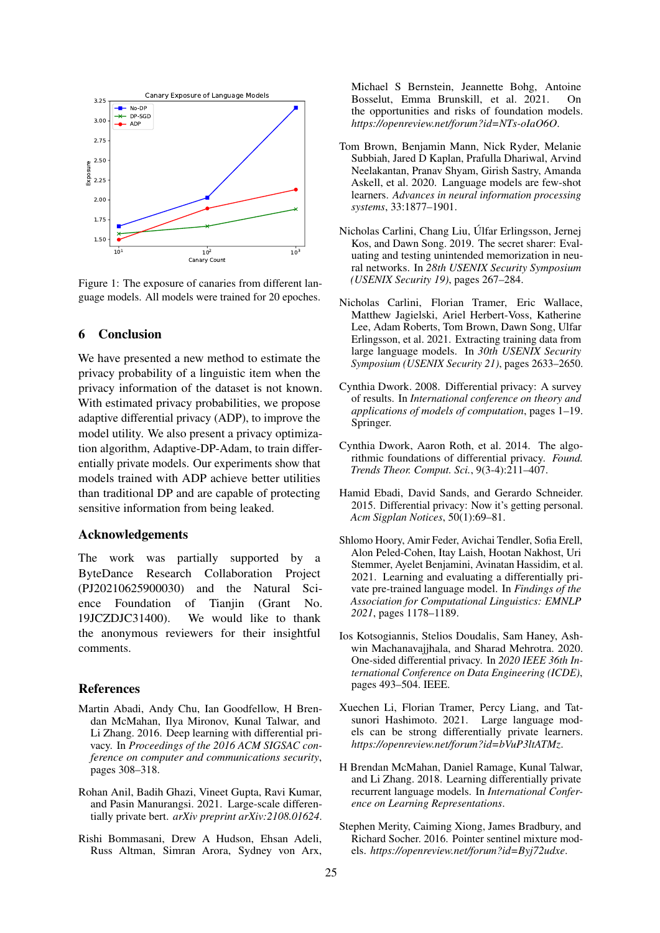<span id="page-4-14"></span>

Figure 1: The exposure of canaries from different language models. All models were trained for 20 epoches.

# 6 Conclusion

We have presented a new method to estimate the privacy probability of a linguistic item when the privacy information of the dataset is not known. With estimated privacy probabilities, we propose adaptive differential privacy (ADP), to improve the model utility. We also present a privacy optimization algorithm, Adaptive-DP-Adam, to train differentially private models. Our experiments show that models trained with ADP achieve better utilities than traditional DP and are capable of protecting sensitive information from being leaked.

### Acknowledgements

The work was partially supported by a ByteDance Research Collaboration Project (PJ20210625900030) and the Natural Science Foundation of Tianiin (Grant No. 19JCZDJC31400). We would like to thank the anonymous reviewers for their insightful comments.

### References

- <span id="page-4-6"></span>Martin Abadi, Andy Chu, Ian Goodfellow, H Brendan McMahan, Ilya Mironov, Kunal Talwar, and Li Zhang. 2016. Deep learning with differential privacy. In *Proceedings of the 2016 ACM SIGSAC conference on computer and communications security*, pages 308–318.
- <span id="page-4-8"></span>Rohan Anil, Badih Ghazi, Vineet Gupta, Ravi Kumar, and Pasin Manurangsi. 2021. Large-scale differentially private bert. *arXiv preprint arXiv:2108.01624*.
- <span id="page-4-0"></span>Rishi Bommasani, Drew A Hudson, Ehsan Adeli, Russ Altman, Simran Arora, Sydney von Arx,

Michael S Bernstein, Jeannette Bohg, Antoine Bosselut, Emma Brunskill, et al. 2021. On the opportunities and risks of foundation models. *https://openreview.net/forum?id=NTs-oIaO6O*.

- <span id="page-4-1"></span>Tom Brown, Benjamin Mann, Nick Ryder, Melanie Subbiah, Jared D Kaplan, Prafulla Dhariwal, Arvind Neelakantan, Pranav Shyam, Girish Sastry, Amanda Askell, et al. 2020. Language models are few-shot learners. *Advances in neural information processing systems*, 33:1877–1901.
- <span id="page-4-2"></span>Nicholas Carlini, Chang Liu, Úlfar Erlingsson, Jernej Kos, and Dawn Song. 2019. The secret sharer: Evaluating and testing unintended memorization in neural networks. In *28th USENIX Security Symposium (USENIX Security 19)*, pages 267–284.
- <span id="page-4-3"></span>Nicholas Carlini, Florian Tramer, Eric Wallace, Matthew Jagielski, Ariel Herbert-Voss, Katherine Lee, Adam Roberts, Tom Brown, Dawn Song, Ulfar Erlingsson, et al. 2021. Extracting training data from large language models. In *30th USENIX Security Symposium (USENIX Security 21)*, pages 2633–2650.
- <span id="page-4-4"></span>Cynthia Dwork. 2008. Differential privacy: A survey of results. In *International conference on theory and applications of models of computation*, pages 1–19. Springer.
- <span id="page-4-5"></span>Cynthia Dwork, Aaron Roth, et al. 2014. The algorithmic foundations of differential privacy. *Found. Trends Theor. Comput. Sci.*, 9(3-4):211–407.
- <span id="page-4-11"></span>Hamid Ebadi, David Sands, and Gerardo Schneider. 2015. Differential privacy: Now it's getting personal. *Acm Sigplan Notices*, 50(1):69–81.
- <span id="page-4-10"></span>Shlomo Hoory, Amir Feder, Avichai Tendler, Sofia Erell, Alon Peled-Cohen, Itay Laish, Hootan Nakhost, Uri Stemmer, Ayelet Benjamini, Avinatan Hassidim, et al. 2021. Learning and evaluating a differentially private pre-trained language model. In *Findings of the Association for Computational Linguistics: EMNLP 2021*, pages 1178–1189.
- <span id="page-4-12"></span>Ios Kotsogiannis, Stelios Doudalis, Sam Haney, Ashwin Machanavajjhala, and Sharad Mehrotra. 2020. One-sided differential privacy. In *2020 IEEE 36th International Conference on Data Engineering (ICDE)*, pages 493–504. IEEE.
- <span id="page-4-9"></span>Xuechen Li, Florian Tramer, Percy Liang, and Tatsunori Hashimoto. 2021. Large language models can be strong differentially private learners. *https://openreview.net/forum?id=bVuP3ltATMz*.
- <span id="page-4-7"></span>H Brendan McMahan, Daniel Ramage, Kunal Talwar, and Li Zhang. 2018. Learning differentially private recurrent language models. In *International Conference on Learning Representations*.
- <span id="page-4-13"></span>Stephen Merity, Caiming Xiong, James Bradbury, and Richard Socher. 2016. Pointer sentinel mixture models. *https://openreview.net/forum?id=Byj72udxe*.